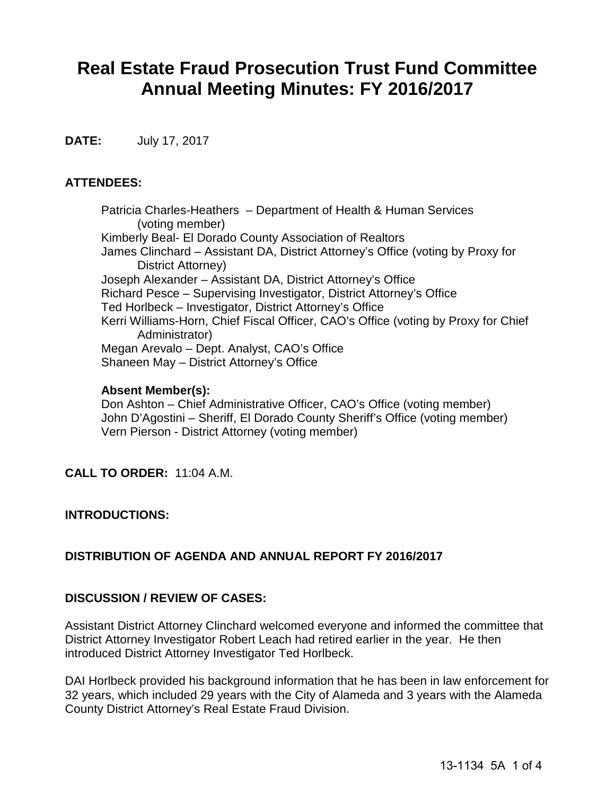# **Real Estate Fraud Prosecution Trust Fund Committee Annual Meeting Minutes: FY 2016/2017**

**DATE:** July 17, 2017

### **ATTENDEES:**

Patricia Charles-Heathers – Department of Health & Human Services (voting member) Kimberly Beal- El Dorado County Association of Realtors James Clinchard – Assistant DA, District Attorney's Office (voting by Proxy for District Attorney) Joseph Alexander – Assistant DA, District Attorney's Office Richard Pesce – Supervising Investigator, District Attorney's Office Ted Horlbeck – Investigator, District Attorney's Office Kerri Williams-Horn, Chief Fiscal Officer, CAO's Office (voting by Proxy for Chief Administrator) Megan Arevalo – Dept. Analyst, CAO's Office Shaneen May – District Attorney's Office

#### **Absent Member(s):**

Don Ashton – Chief Administrative Officer, CAO's Office (voting member) John D'Agostini – Sheriff, El Dorado County Sheriff's Office (voting member) Vern Pierson - District Attorney (voting member)

### **CALL TO ORDER:** 11:04 A.M.

### **INTRODUCTIONS:**

### **DISTRIBUTION OF AGENDA AND ANNUAL REPORT FY 2016/2017**

### **DISCUSSION / REVIEW OF CASES:**

Assistant District Attorney Clinchard welcomed everyone and informed the committee that District Attorney Investigator Robert Leach had retired earlier in the year. He then introduced District Attorney Investigator Ted Horlbeck.

DAI Horlbeck provided his background information that he has been in law enforcement for 32 years, which included 29 years with the City of Alameda and 3 years with the Alameda County District Attorney's Real Estate Fraud Division.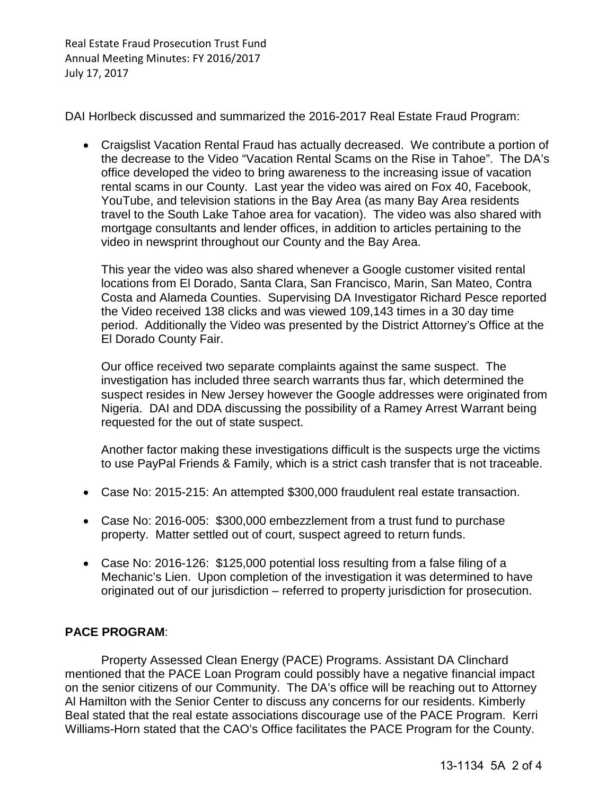Real Estate Fraud Prosecution Trust Fund Annual Meeting Minutes: FY 2016/2017 July 17, 2017

DAI Horlbeck discussed and summarized the 2016-2017 Real Estate Fraud Program:

• Craigslist Vacation Rental Fraud has actually decreased. We contribute a portion of the decrease to the Video "Vacation Rental Scams on the Rise in Tahoe". The DA's office developed the video to bring awareness to the increasing issue of vacation rental scams in our County. Last year the video was aired on Fox 40, Facebook, YouTube, and television stations in the Bay Area (as many Bay Area residents travel to the South Lake Tahoe area for vacation). The video was also shared with mortgage consultants and lender offices, in addition to articles pertaining to the video in newsprint throughout our County and the Bay Area.

This year the video was also shared whenever a Google customer visited rental locations from El Dorado, Santa Clara, San Francisco, Marin, San Mateo, Contra Costa and Alameda Counties. Supervising DA Investigator Richard Pesce reported the Video received 138 clicks and was viewed 109,143 times in a 30 day time period. Additionally the Video was presented by the District Attorney's Office at the El Dorado County Fair.

Our office received two separate complaints against the same suspect. The investigation has included three search warrants thus far, which determined the suspect resides in New Jersey however the Google addresses were originated from Nigeria. DAI and DDA discussing the possibility of a Ramey Arrest Warrant being requested for the out of state suspect.

Another factor making these investigations difficult is the suspects urge the victims to use PayPal Friends & Family, which is a strict cash transfer that is not traceable.

- Case No: 2015-215: An attempted \$300,000 fraudulent real estate transaction.
- Case No: 2016-005: \$300,000 embezzlement from a trust fund to purchase property. Matter settled out of court, suspect agreed to return funds.
- Case No: 2016-126: \$125,000 potential loss resulting from a false filing of a Mechanic's Lien. Upon completion of the investigation it was determined to have originated out of our jurisdiction – referred to property jurisdiction for prosecution.

### **PACE PROGRAM**:

Property Assessed Clean Energy (PACE) Programs. Assistant DA Clinchard mentioned that the PACE Loan Program could possibly have a negative financial impact on the senior citizens of our Community. The DA's office will be reaching out to Attorney Al Hamilton with the Senior Center to discuss any concerns for our residents. Kimberly Beal stated that the real estate associations discourage use of the PACE Program. Kerri Williams-Horn stated that the CAO's Office facilitates the PACE Program for the County.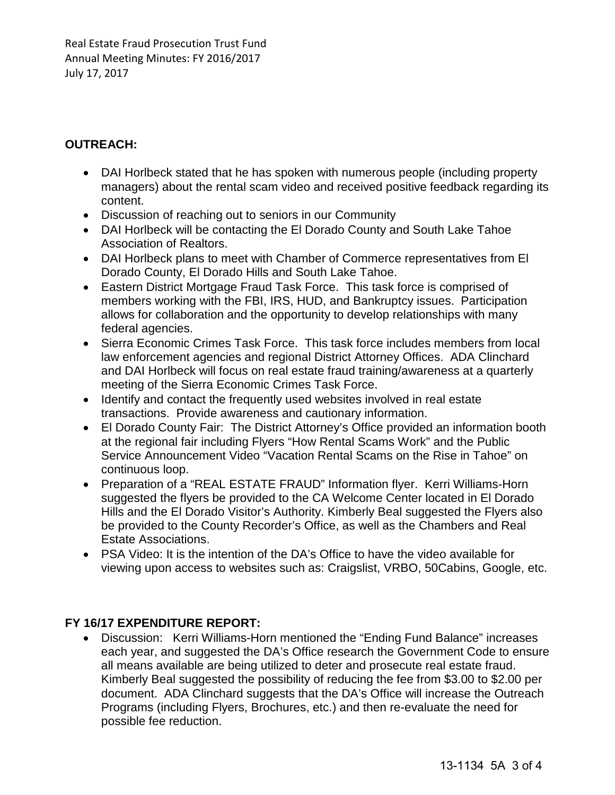Real Estate Fraud Prosecution Trust Fund Annual Meeting Minutes: FY 2016/2017 July 17, 2017

# **OUTREACH:**

- DAI Horlbeck stated that he has spoken with numerous people (including property managers) about the rental scam video and received positive feedback regarding its content.
- Discussion of reaching out to seniors in our Community
- DAI Horlbeck will be contacting the El Dorado County and South Lake Tahoe Association of Realtors.
- DAI Horlbeck plans to meet with Chamber of Commerce representatives from El Dorado County, El Dorado Hills and South Lake Tahoe.
- Eastern District Mortgage Fraud Task Force. This task force is comprised of members working with the FBI, IRS, HUD, and Bankruptcy issues. Participation allows for collaboration and the opportunity to develop relationships with many federal agencies.
- Sierra Economic Crimes Task Force. This task force includes members from local law enforcement agencies and regional District Attorney Offices. ADA Clinchard and DAI Horlbeck will focus on real estate fraud training/awareness at a quarterly meeting of the Sierra Economic Crimes Task Force.
- Identify and contact the frequently used websites involved in real estate transactions. Provide awareness and cautionary information.
- El Dorado County Fair: The District Attorney's Office provided an information booth at the regional fair including Flyers "How Rental Scams Work" and the Public Service Announcement Video "Vacation Rental Scams on the Rise in Tahoe" on continuous loop.
- Preparation of a "REAL ESTATE FRAUD" Information flyer. Kerri Williams-Horn suggested the flyers be provided to the CA Welcome Center located in El Dorado Hills and the El Dorado Visitor's Authority. Kimberly Beal suggested the Flyers also be provided to the County Recorder's Office, as well as the Chambers and Real Estate Associations.
- PSA Video: It is the intention of the DA's Office to have the video available for viewing upon access to websites such as: Craigslist, VRBO, 50Cabins, Google, etc.

# **FY 16/17 EXPENDITURE REPORT:**

• Discussion: Kerri Williams-Horn mentioned the "Ending Fund Balance" increases each year, and suggested the DA's Office research the Government Code to ensure all means available are being utilized to deter and prosecute real estate fraud. Kimberly Beal suggested the possibility of reducing the fee from \$3.00 to \$2.00 per document. ADA Clinchard suggests that the DA's Office will increase the Outreach Programs (including Flyers, Brochures, etc.) and then re-evaluate the need for possible fee reduction.